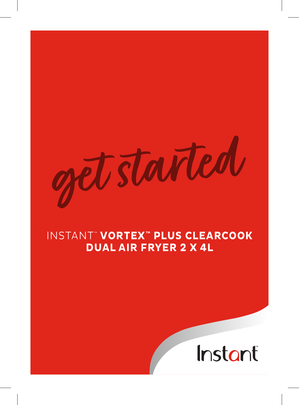started

# INSTANT ™ **VORTEX™ PLUS CLEARCOOK DUAL AIR FRYER 2 X 4L**

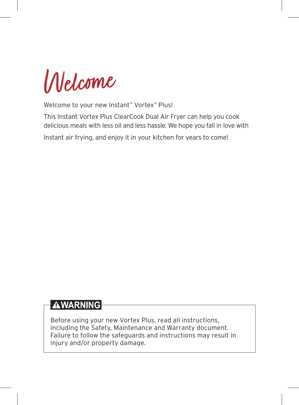Welcome

Welcome to your new Instant™ Vortex™ Plus!

This Instant Vortex Plus ClearCook Dual Air Fryer can help you cook delicious meals with less oil and less hassle. We hope you fall in love with Instant air frying, and enjoy it in your kitchen for years to come!

## **AWARNING**

Before using your new Vortex Plus, read all instructions, including the Safety, Maintenance and Warranty document. Failure to follow the safeguards and instructions may result in injury and/or property damage.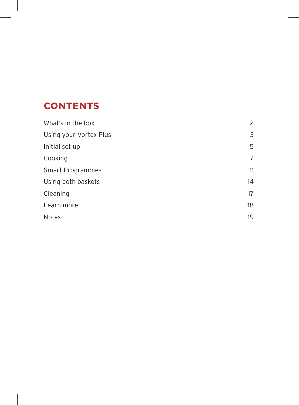## **CONTENTS**

| What's in the box      | 2  |
|------------------------|----|
| Using your Vortex Plus | 3  |
| Initial set up         | 5  |
| Cooking                | 7  |
| Smart Programmes       | 11 |
| Using both baskets     | 14 |
| Cleaning               | 17 |
| Learn more             | 18 |
| <b>Notes</b>           | 19 |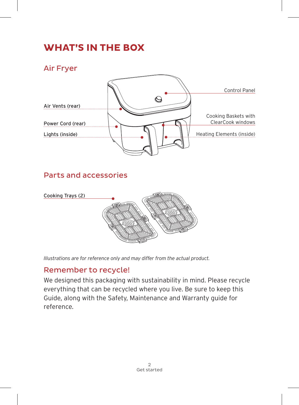# **WHAT'S IN THE BOX**

Air Fryer



### Parts and accessories



*Illustrations are for reference only and may differ from the actual product.*

### Remember to recycle!

We designed this packaging with sustainability in mind. Please recycle everything that can be recycled where you live. Be sure to keep this Guide, along with the Safety, Maintenance and Warranty guide for reference.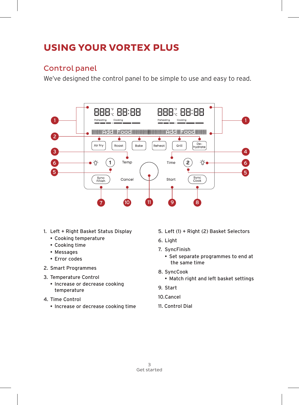# **USING YOUR VORTEX PLUS**

### Control panel

We've designed the control panel to be simple to use and easy to read.



- 1. Left + Right Basket Status Display
	- Cooking temperature
	- Cooking time
	- Messages
	- Error codes
- 2. Smart Programmes
- 3. Temperature Control
	- Increase or decrease cooking temperature
- 4. Time Control
	- Increase or decrease cooking time
- 5. Left (1) + Right (2) Basket Selectors
- 6. Light
- 7. SyncFinish
	- Set separate programmes to end at the same time
- 8. SyncCook
	- Match right and left basket settings
- 9. Start
- 10.Cancel
- 11. Control Dial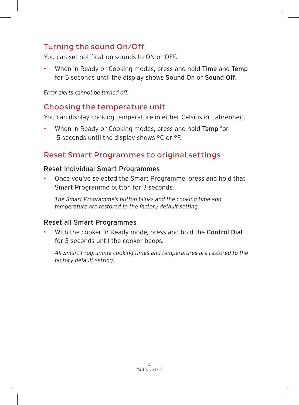## Turning the sound On/Off

You can set notification sounds to ON or OFF.

When in Ready or Cooking modes, press and hold Time and Temp for 5 seconds until the display shows Sound On or Sound Off.

*Error alerts cannot be turned off.*

#### Choosing the temperature unit

You can display cooking temperature in either Celsius or Fahrenheit.

When in Ready or Cooking modes, press and hold Temp for 5 seconds until the display shows °C or °F.

### Reset Smart Programmes to original settings

#### Reset individual Smart Programmes

• Once you've selected the Smart Programme, press and hold that Smart Programme button for 3 seconds.

*The Smart Programme's button blinks and the cooking time and temperature are restored to the factory default setting.*

#### Reset all Smart Programmes

With the cooker in Ready mode, press and hold the Control Dial for 3 seconds until the cooker beeps.

*All Smart Programme cooking times and temperatures are restored to the factory default setting.*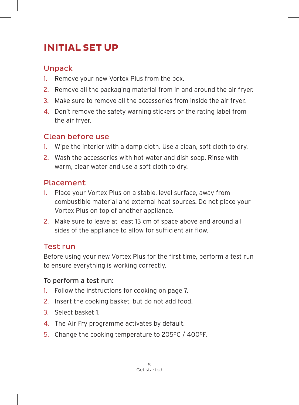# **INITIAL SET UP**

## Unpack

- 1. Remove your new Vortex Plus from the box.
- 2. Remove all the packaging material from in and around the air fryer.
- 3. Make sure to remove all the accessories from inside the air fryer.
- 4. Don't remove the safety warning stickers or the rating label from the air fryer.

## Clean before use

- 1. Wipe the interior with a damp cloth. Use a clean, soft cloth to dry.
- 2. Wash the accessories with hot water and dish soap. Rinse with warm, clear water and use a soft cloth to dry.

## Placement

- 1. Place your Vortex Plus on a stable, level surface, away from combustible material and external heat sources. Do not place your Vortex Plus on top of another appliance.
- 2. Make sure to leave at least 13 cm of space above and around all sides of the appliance to allow for sufficient air flow.

## Test run

Before using your new Vortex Plus for the first time, perform a test run to ensure everything is working correctly.

### To perform a test run:

- 1. Follow the instructions for cooking on page 7.
- 2. Insert the cooking basket, but do not add food.
- 3. Select basket 1.
- 4. The Air Fry programme activates by default.
- 5. Change the cooking temperature to 205°C / 400°F.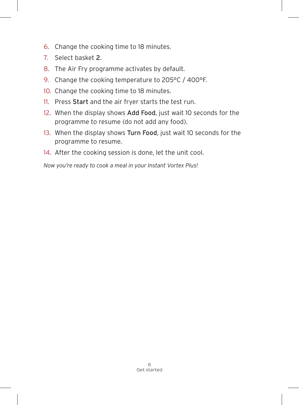- 6. Change the cooking time to 18 minutes.
- 7. Select basket 2.
- 8. The Air Fry programme activates by default.
- 9. Change the cooking temperature to 205°C / 400°F.
- 10. Change the cooking time to 18 minutes.
- 11. Press Start and the air fryer starts the test run.
- 12. When the display shows Add Food, just wait 10 seconds for the programme to resume (do not add any food).
- 13. When the display shows Turn Food, just wait 10 seconds for the programme to resume.
- 14. After the cooking session is done, let the unit cool.

*Now you're ready to cook a meal in your Instant Vortex Plus!*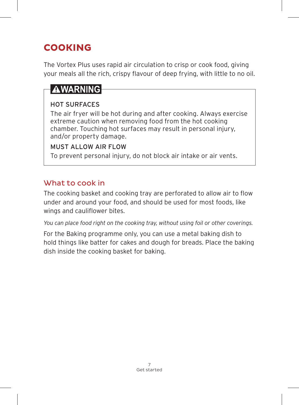# **COOKING**

The Vortex Plus uses rapid air circulation to crisp or cook food, giving your meals all the rich, crispy flavour of deep frying, with little to no oil.

# **AWARNING**

### HOT SURFACES

The air fryer will be hot during and after cooking. Always exercise extreme caution when removing food from the hot cooking chamber. Touching hot surfaces may result in personal injury, and/or property damage.

#### MUST ALLOW AIR FLOW

To prevent personal injury, do not block air intake or air vents.

## What to cook in

The cooking basket and cooking tray are perforated to allow air to flow under and around your food, and should be used for most foods, like wings and cauliflower bites.

*You can place food right on the cooking tray, without using foil or other coverings.*

For the Baking programme only, you can use a metal baking dish to hold things like batter for cakes and dough for breads. Place the baking dish inside the cooking basket for baking.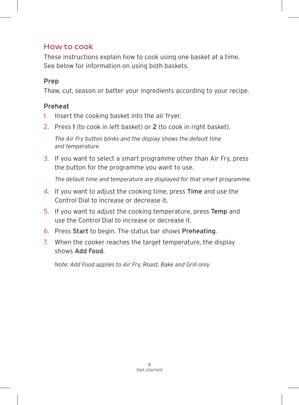### How to cook

These instructions explain how to cook using one basket at a time. See below for information on using both baskets.

### Prep

Thaw, cut, season or batter your ingredients according to your recipe.

### Preheat

- 1. Insert the cooking basket into the air fryer.
- 2. Press 1 (to cook in left basket) or 2 (to cook in right basket).

*The Air Fry button blinks and the display shows the default time and temperature.*

3. If you want to select a smart programme other than Air Fry, press the button for the programme you want to use.

*The default time and temperature are displayed for that smart programme.*

- 4. If you want to adjust the cooking time, press Time and use the Control Dial to increase or decrease it.
- 5. If you want to adjust the cooking temperature, press Temp and use the Control Dial to increase or decrease it.
- 6. Press Start to begin. The status bar shows Preheating.
- 7. When the cooker reaches the target temperature, the display shows Add Food.

*Note: Add Food applies to Air Fry, Roast, Bake and Grill only.*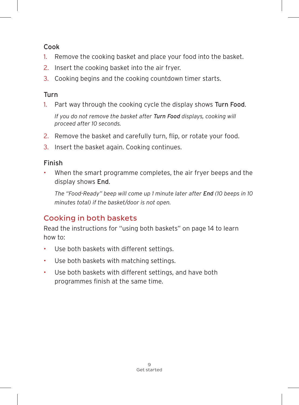#### Cook

- 1. Remove the cooking basket and place your food into the basket.
- 2. Insert the cooking basket into the air fryer.
- 3. Cooking begins and the cooking countdown timer starts.

### Turn

1. Part way through the cooking cycle the display shows Turn Food.

*If you do not remove the basket after Turn Food displays, cooking will proceed after 10 seconds.*

- 2. Remove the basket and carefully turn, flip, or rotate your food.
- 3. Insert the basket again. Cooking continues.

### Finish

When the smart programme completes, the air fryer beeps and the display shows End.

*The "Food-Ready" beep will come up 1 minute later after End (10 beeps in 10 minutes total) if the basket/door is not open.*

## Cooking in both baskets

Read the instructions for "using both baskets" on page 14 to learn how to:

- Use both baskets with different settings.
- Use both baskets with matching settings.
- Use both baskets with different settings, and have both programmes finish at the same time.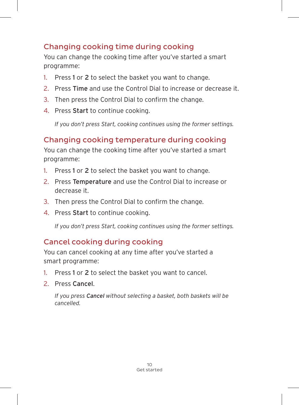## Changing cooking time during cooking

You can change the cooking time after you've started a smart programme:

- 1. Press 1 or 2 to select the basket you want to change.
- 2. Press Time and use the Control Dial to increase or decrease it.
- 3. Then press the Control Dial to confirm the change.
- 4. Press Start to continue cooking.

*If you don't press Start, cooking continues using the former settings.*

## Changing cooking temperature during cooking

You can change the cooking time after you've started a smart programme:

- 1. Press 1 or 2 to select the basket you want to change.
- 2. Press Temperature and use the Control Dial to increase or decrease it.
- 3. Then press the Control Dial to confirm the change.
- 4. Press Start to continue cooking.

*If you don't press Start, cooking continues using the former settings.*

## Cancel cooking during cooking

You can cancel cooking at any time after you've started a smart programme:

- 1. Press 1 or 2 to select the basket you want to cancel.
- 2. Press Cancel.

*If you press Cancel without selecting a basket, both baskets will be cancelled.*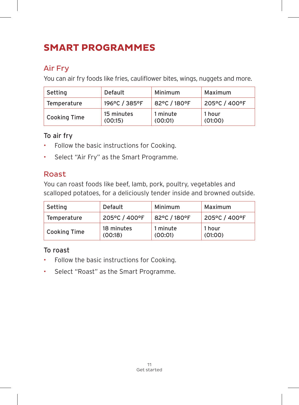# **SMART PROGRAMMES**

## Air Fry

You can air fry foods like fries, cauliflower bites, wings, nuggets and more.

| Setting             | Default               | Minimum             | Maximum           |
|---------------------|-----------------------|---------------------|-------------------|
| Temperature         | 196°C / 385°F         | 82°C / 180°F        | 205°C / 400°F     |
| <b>Cooking Time</b> | 15 minutes<br>(00:15) | 1 minute<br>(00:01) | 1 hour<br>(01:00) |

#### To air fry

- Follow the basic instructions for Cooking.
- Select "Air Fry" as the Smart Programme.

### Roast

You can roast foods like beef, lamb, pork, poultry, vegetables and scalloped potatoes, for a deliciously tender inside and browned outside.

| Setting             | Default               | Minimum             | Maximum           |
|---------------------|-----------------------|---------------------|-------------------|
| Temperature         | 205°C / 400°F         | 82°C / 180°F        | 205°C / 400°F     |
| <b>Cooking Time</b> | 18 minutes<br>(00:18) | 1 minute<br>(00:01) | 1 hour<br>(01:00) |

### To roast

- Follow the basic instructions for Cooking.
- Select "Roast" as the Smart Programme.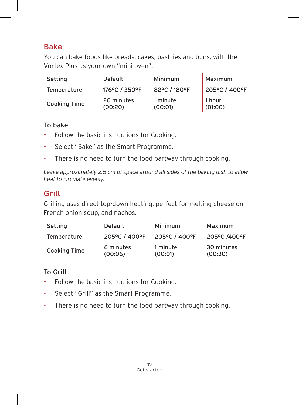### Bake

You can bake foods like breads, cakes, pastries and buns, with the Vortex Plus as your own "mini oven".

| Setting      | Default               | Minimum             | Maximum           |
|--------------|-----------------------|---------------------|-------------------|
| Temperature  | 176°C / 350°F         | 82°C / 180°F        | 205°C / 400°F     |
| Cooking Time | 20 minutes<br>(00:20) | 1 minute<br>(00:01) | 1 hour<br>(01:00) |

#### To bake

- Follow the basic instructions for Cooking.
- Select "Bake" as the Smart Programme.
- There is no need to turn the food partway through cooking.

*Leave approximately 2.5 cm of space around all sides of the baking dish to allow heat to circulate evenly.*

## Grill

Grilling uses direct top-down heating, perfect for melting cheese on French onion soup, and nachos.

| Setting      | Default              | Minimum             | Maximum               |
|--------------|----------------------|---------------------|-----------------------|
| Temperature  | 205°C / 400°F        | 205°C / 400°F       | 205°C /400°F          |
| Cooking Time | 6 minutes<br>(00:06) | 1 minute<br>(00:01) | 30 minutes<br>(00:30) |

### To Grill

- Follow the basic instructions for Cooking.
- Select "Grill" as the Smart Programme.
- There is no need to turn the food partway through cooking.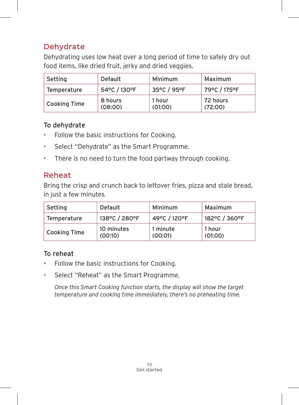## Dehydrate

Dehydrating uses low heat over a long period of time to safely dry out food items, like dried fruit, jerky and dried veggies.

| Setting             | Default            | Minimum           | Maximum             |
|---------------------|--------------------|-------------------|---------------------|
| Temperature         | 54°C / 130°F       | 35°C / 95°F       | 79°C / 175°F        |
| <b>Cooking Time</b> | 8 hours<br>(08:00) | 1 hour<br>(01:00) | 72 hours<br>(72:00) |

#### To dehydrate

- Follow the basic instructions for Cooking.
- Select "Dehydrate" as the Smart Programme.
- There is no need to turn the food partway through cooking.

## Reheat

Bring the crisp and crunch back to leftover fries, pizza and stale bread, in just a few minutes.

| Setting             | Default               | Minimum             | Maximum           |
|---------------------|-----------------------|---------------------|-------------------|
| Temperature         | 138°C / 280°F         | 49°C / 120°F        | 182°C / 360°F     |
| <b>Cooking Time</b> | 10 minutes<br>(00:10) | 1 minute<br>(00:01) | 1 hour<br>(01:00) |

### To reheat

- Follow the basic instructions for Cooking.
- Select "Reheat" as the Smart Programme.

*Once this Smart Cooking function starts, the display will show the target temperature and cooking time immediately, there's no preheating time.*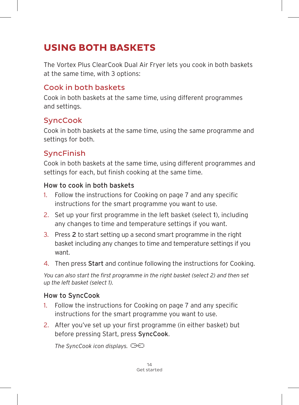# **USING BOTH BASKETS**

The Vortex Plus ClearCook Dual Air Fryer lets you cook in both baskets at the same time, with 3 options:

### Cook in both baskets

Cook in both baskets at the same time, using different programmes and settings.

### **SyncCook**

Cook in both baskets at the same time, using the same programme and settings for both.

## SyncFinish

Cook in both baskets at the same time, using different programmes and settings for each, but finish cooking at the same time.

#### How to cook in both baskets

- 1. Follow the instructions for Cooking on page 7 and any specific instructions for the smart programme you want to use.
- 2. Set up your first programme in the left basket (select 1), including any changes to time and temperature settings if you want.
- 3. Press 2 to start setting up a second smart programme in the right basket including any changes to time and temperature settings if you want.
- 4. Then press Start and continue following the instructions for Cooking.

*You can also start the first programme in the right basket (select 2) and then set up the left basket (select 1).*

#### How to SyncCook

- 1. Follow the instructions for Cooking on page 7 and any specific instructions for the smart programme you want to use.
- 2. After you've set up your first programme (in either basket) but before pressing Start, press SyncCook.

*The SyncCook icon displays.*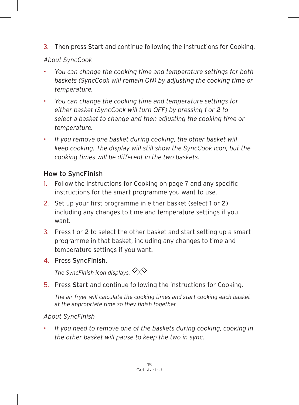3. Then press Start and continue following the instructions for Cooking.

#### *About SyncCook*

- *You can change the cooking time and temperature settings for both baskets (SyncCook will remain ON) by adjusting the cooking time or temperature.*
- *You can change the cooking time and temperature settings for either basket (SyncCook will turn OFF) by pressing 1 or 2 to select a basket to change and then adjusting the cooking time or temperature.*
- *If you remove one basket during cooking, the other basket will keep cooking. The display will still show the SyncCook icon, but the cooking times will be different in the two baskets.*

### How to SyncFinish

- 1. Follow the instructions for Cooking on page 7 and any specific instructions for the smart programme you want to use.
- 2. Set up your first programme in either basket (select 1 or 2) including any changes to time and temperature settings if you want.
- 3. Press 1 or 2 to select the other basket and start setting up a smart programme in that basket, including any changes to time and temperature settings if you want.
- 4. Press SyncFinish.

*The SyncFinish icon displays.* 

5. Press Start and continue following the instructions for Cooking.

*The air fryer will calculate the cooking times and start cooking each basket at the appropriate time so they finish together.*

### *About SyncFinish*

• *If you need to remove one of the baskets during cooking, cooking in the other basket will pause to keep the two in sync.*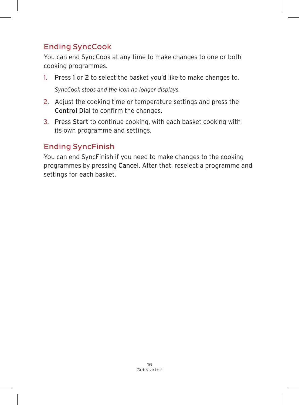## Ending SyncCook

You can end SyncCook at any time to make changes to one or both cooking programmes.

- 1. Press 1 or 2 to select the basket you'd like to make changes to. *SyncCook stops and the icon no longer displays.*
- 2. Adjust the cooking time or temperature settings and press the Control Dial to confirm the changes.
- 3. Press Start to continue cooking, with each basket cooking with its own programme and settings.

## Ending SyncFinish

You can end SyncFinish if you need to make changes to the cooking programmes by pressing Cancel. After that, reselect a programme and settings for each basket.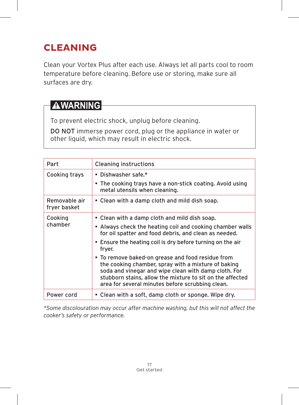# **CLEANING**

Clean your Vortex Plus after each use. Always let all parts cool to room temperature before cleaning. Before use or storing, make sure all surfaces are dry.

# **AWARNING**

To prevent electric shock, unplug before cleaning.

DO NOT immerse power cord, plug or the appliance in water or other liquid, which may result in electric shock.

| Part                          | Cleaning instructions                                                                                                                                                                                                                                                             |
|-------------------------------|-----------------------------------------------------------------------------------------------------------------------------------------------------------------------------------------------------------------------------------------------------------------------------------|
| Cooking trays                 | • Dishwasher safe.*                                                                                                                                                                                                                                                               |
|                               | • The cooking trays have a non-stick coating. Avoid using<br>metal utensils when cleaning.                                                                                                                                                                                        |
| Removable air<br>fryer basket | • Clean with a damp cloth and mild dish soap.                                                                                                                                                                                                                                     |
| Cooking                       | • Clean with a damp cloth and mild dish soap.                                                                                                                                                                                                                                     |
| chamber                       | • Always check the heating coil and cooking chamber walls<br>for oil spatter and food debris, and clean as needed.                                                                                                                                                                |
|                               | • Ensure the heating coil is dry before turning on the air<br>fryer.                                                                                                                                                                                                              |
|                               | • To remove baked-on grease and food residue from<br>the cooking chamber, spray with a mixture of baking<br>soda and vinegar and wipe clean with damp cloth. For<br>stubborn stains, allow the mixture to sit on the affected<br>area for several minutes before scrubbing clean. |
| Power cord                    | • Clean with a soft, damp cloth or sponge. Wipe dry.                                                                                                                                                                                                                              |

*\*Some discolouration may occur after machine washing, but this will not affect the cooker's safety or performance.*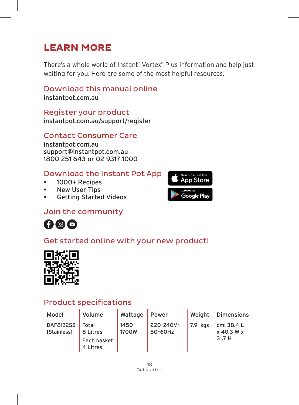# **LEARN MORE**

There's a whole world of Instant™ Vortex™ Plus information and help just waiting for you. Here are some of the most helpful resources.

### Download this manual online

instantpot.com.au

Register your product instantpot.com.au/support/register

#### Contact Consumer Care

instantpot.com.au support@instantpot.com.au 1800 251 643 or 02 9317 1000

#### Download the Instant Pot App

- 1000+ Recipes
- New User Tips
- Getting Started Videos



### Join the community



## Get started online with your new product!



### Product specifications

| Model                                 | Volume                                       | Wattage           | Power                | Weight  | Dimensions                         |
|---------------------------------------|----------------------------------------------|-------------------|----------------------|---------|------------------------------------|
| <b>DAF8132SS</b><br><b>Stainless1</b> | Total<br>8 Litres<br>Each basket<br>4 Litres | $1450 -$<br>1700W | 220-240V~<br>50-60Hz | 7.9 kgs | cm: 38.4 L<br>x 40.3 W x<br>31.7 H |

18 Get started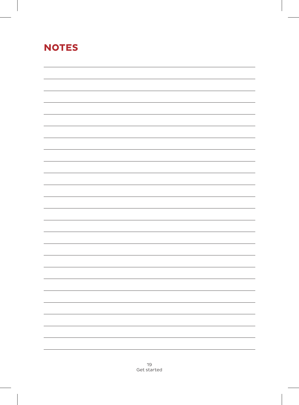# **NOTES**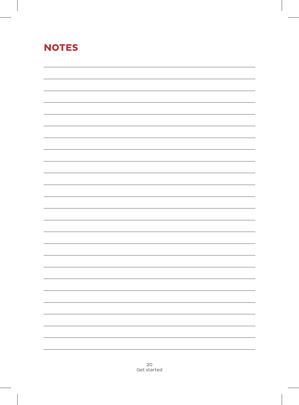# **NOTES**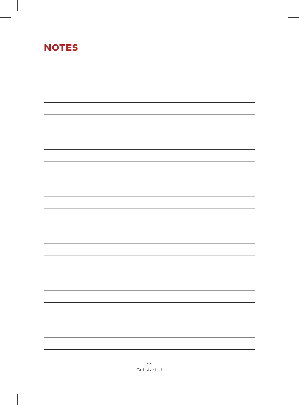# **NOTES**